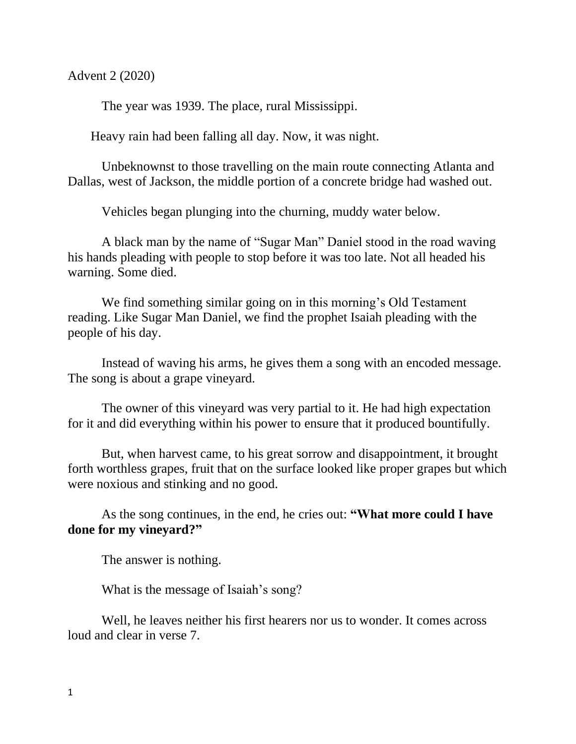Advent 2 (2020)

The year was 1939. The place, rural Mississippi.

Heavy rain had been falling all day. Now, it was night.

Unbeknownst to those travelling on the main route connecting Atlanta and Dallas, west of Jackson, the middle portion of a concrete bridge had washed out.

Vehicles began plunging into the churning, muddy water below.

A black man by the name of "Sugar Man" Daniel stood in the road waving his hands pleading with people to stop before it was too late. Not all headed his warning. Some died.

We find something similar going on in this morning's Old Testament reading. Like Sugar Man Daniel, we find the prophet Isaiah pleading with the people of his day.

Instead of waving his arms, he gives them a song with an encoded message. The song is about a grape vineyard.

The owner of this vineyard was very partial to it. He had high expectation for it and did everything within his power to ensure that it produced bountifully.

But, when harvest came, to his great sorrow and disappointment, it brought forth worthless grapes, fruit that on the surface looked like proper grapes but which were noxious and stinking and no good.

As the song continues, in the end, he cries out: **"What more could I have done for my vineyard?"**

The answer is nothing.

What is the message of Isaiah's song?

Well, he leaves neither his first hearers nor us to wonder. It comes across loud and clear in verse 7.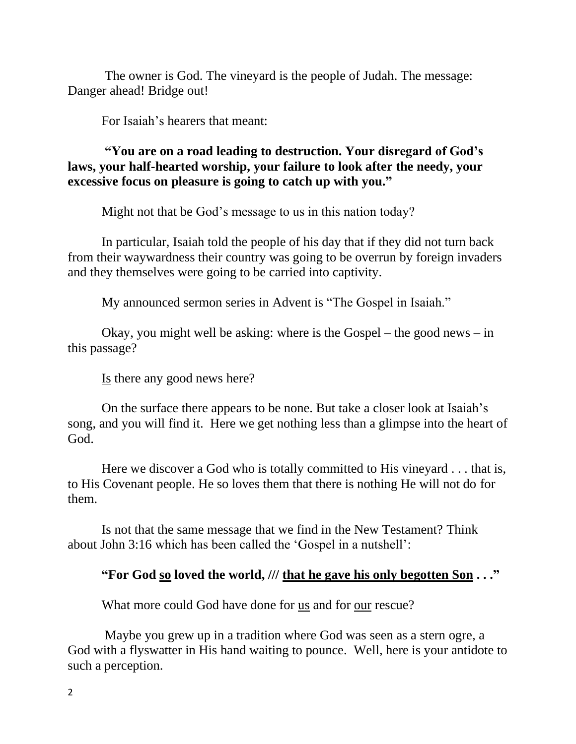The owner is God. The vineyard is the people of Judah. The message: Danger ahead! Bridge out!

For Isaiah's hearers that meant:

**"You are on a road leading to destruction. Your disregard of God's laws, your half-hearted worship, your failure to look after the needy, your excessive focus on pleasure is going to catch up with you."**

Might not that be God's message to us in this nation today?

In particular, Isaiah told the people of his day that if they did not turn back from their waywardness their country was going to be overrun by foreign invaders and they themselves were going to be carried into captivity.

My announced sermon series in Advent is "The Gospel in Isaiah."

Okay, you might well be asking: where is the Gospel – the good news – in this passage?

Is there any good news here?

On the surface there appears to be none. But take a closer look at Isaiah's song, and you will find it. Here we get nothing less than a glimpse into the heart of God.

Here we discover a God who is totally committed to His vineyard . . . that is, to His Covenant people. He so loves them that there is nothing He will not do for them.

Is not that the same message that we find in the New Testament? Think about John 3:16 which has been called the 'Gospel in a nutshell':

## **"For God so loved the world, /// that he gave his only begotten Son . . ."**

What more could God have done for us and for our rescue?

Maybe you grew up in a tradition where God was seen as a stern ogre, a God with a flyswatter in His hand waiting to pounce. Well, here is your antidote to such a perception.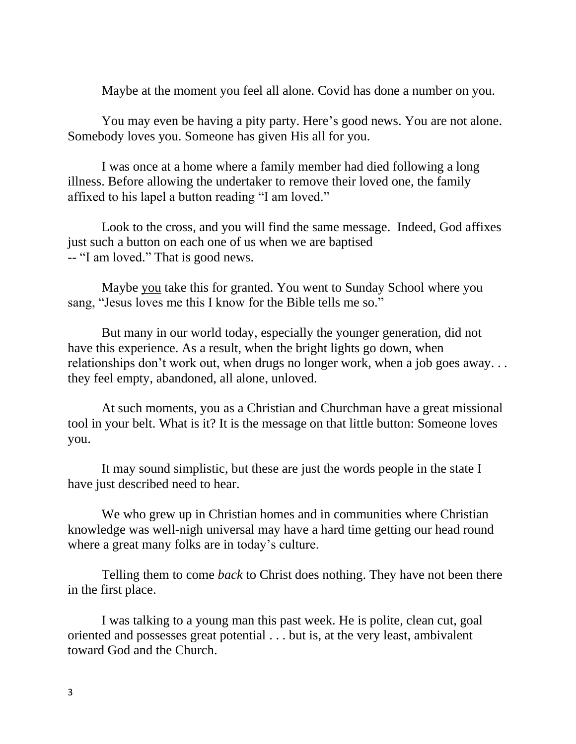Maybe at the moment you feel all alone. Covid has done a number on you.

You may even be having a pity party. Here's good news. You are not alone. Somebody loves you. Someone has given His all for you.

I was once at a home where a family member had died following a long illness. Before allowing the undertaker to remove their loved one, the family affixed to his lapel a button reading "I am loved."

Look to the cross, and you will find the same message. Indeed, God affixes just such a button on each one of us when we are baptised -- "I am loved." That is good news.

Maybe you take this for granted. You went to Sunday School where you sang, "Jesus loves me this I know for the Bible tells me so."

But many in our world today, especially the younger generation, did not have this experience. As a result, when the bright lights go down, when relationships don't work out, when drugs no longer work, when a job goes away. . . they feel empty, abandoned, all alone, unloved.

At such moments, you as a Christian and Churchman have a great missional tool in your belt. What is it? It is the message on that little button: Someone loves you.

It may sound simplistic, but these are just the words people in the state I have just described need to hear.

We who grew up in Christian homes and in communities where Christian knowledge was well-nigh universal may have a hard time getting our head round where a great many folks are in today's culture.

Telling them to come *back* to Christ does nothing. They have not been there in the first place.

I was talking to a young man this past week. He is polite, clean cut, goal oriented and possesses great potential . . . but is, at the very least, ambivalent toward God and the Church.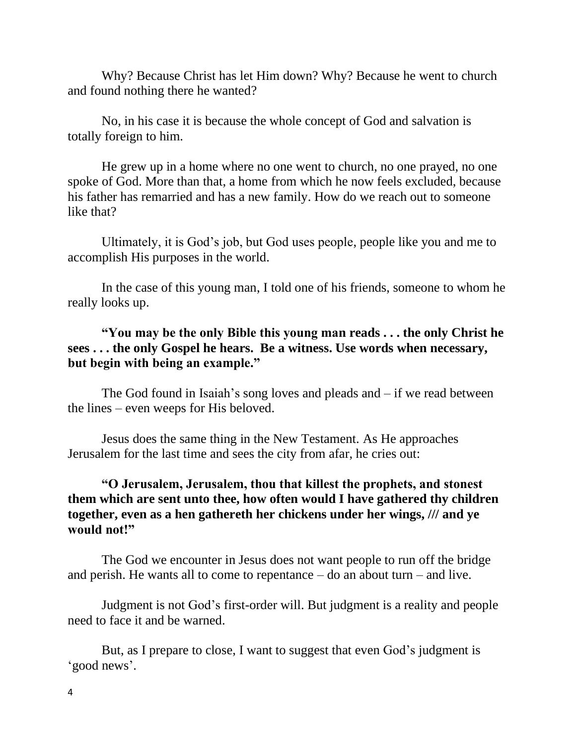Why? Because Christ has let Him down? Why? Because he went to church and found nothing there he wanted?

No, in his case it is because the whole concept of God and salvation is totally foreign to him.

He grew up in a home where no one went to church, no one prayed, no one spoke of God. More than that, a home from which he now feels excluded, because his father has remarried and has a new family. How do we reach out to someone like that?

Ultimately, it is God's job, but God uses people, people like you and me to accomplish His purposes in the world.

In the case of this young man, I told one of his friends, someone to whom he really looks up.

**"You may be the only Bible this young man reads . . . the only Christ he sees . . . the only Gospel he hears. Be a witness. Use words when necessary, but begin with being an example."** 

The God found in Isaiah's song loves and pleads and  $-$  if we read between the lines – even weeps for His beloved.

Jesus does the same thing in the New Testament. As He approaches Jerusalem for the last time and sees the city from afar, he cries out:

## **"O Jerusalem, Jerusalem, thou that killest the prophets, and stonest them which are sent unto thee, how often would I have gathered thy children together, even as a hen gathereth her chickens under her wings, /// and ye would not!"**

The God we encounter in Jesus does not want people to run off the bridge and perish. He wants all to come to repentance – do an about turn – and live.

Judgment is not God's first-order will. But judgment is a reality and people need to face it and be warned.

But, as I prepare to close, I want to suggest that even God's judgment is 'good news'.